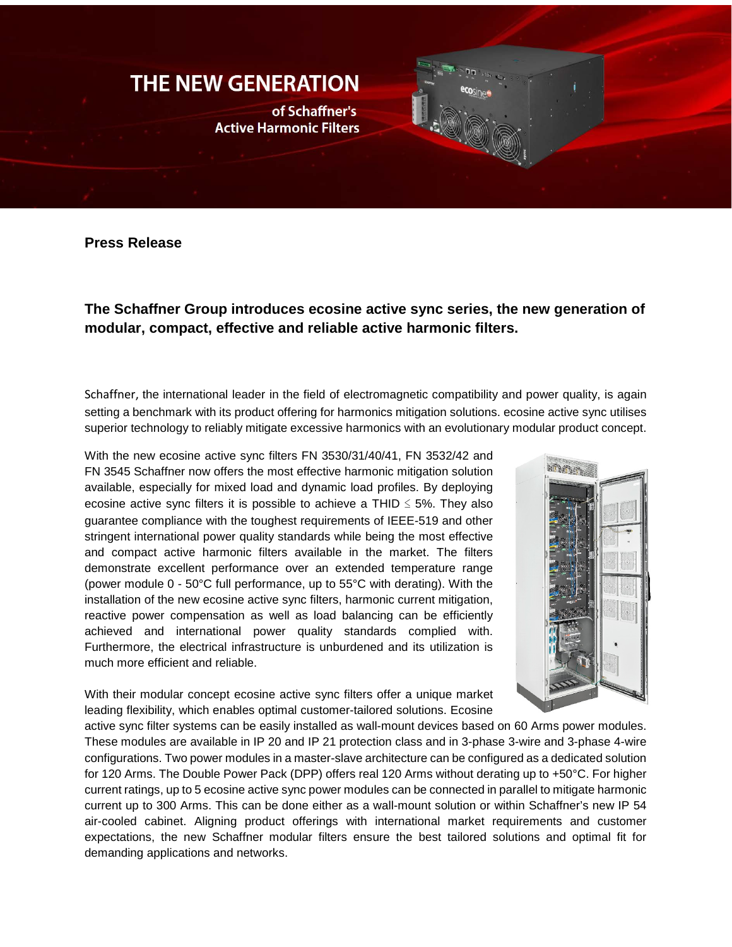## **THE NEW GENERATION**

of Schaffner's **Active Harmonic Filters** 

**Press Release**

**The Schaffner Group introduces ecosine active sync series, the new generation of modular, compact, effective and reliable active harmonic filters.**

[Schaffner,](http://r.newsbox.ch/d73/sh/rd50314/p257/c4518/www.schaffner.com) the international leader in the field of electromagnetic compatibility and power quality, is again setting a benchmark with its product offering for harmonics mitigation solutions. ecosine active sync utilises superior technology to reliably mitigate excessive harmonics with an evolutionary modular product concept.

With the new ecosine active sync filters FN 3530/31/40/41, FN 3532/42 and FN 3545 Schaffner now offers the most effective harmonic mitigation solution available, especially for mixed load and dynamic load profiles. By deploying ecosine active sync filters it is possible to achieve a THID  $\leq$  5%. They also guarantee compliance with the toughest requirements of IEEE-519 and other stringent international power quality standards while being the most effective and compact active harmonic filters available in the market. The filters demonstrate excellent performance over an extended temperature range (power module 0 - 50°C full performance, up to 55°C with derating). With the installation of the new ecosine active sync filters, harmonic current mitigation, reactive power compensation as well as load balancing can be efficiently achieved and international power quality standards complied with. Furthermore, the electrical infrastructure is unburdened and its utilization is much more efficient and reliable.

With their modular concept ecosine active sync filters offer a unique market leading flexibility, which enables optimal customer-tailored solutions. Ecosine



active sync filter systems can be easily installed as wall-mount devices based on 60 Arms power modules. These modules are available in IP 20 and IP 21 protection class and in 3-phase 3-wire and 3-phase 4-wire configurations. Two power modules in a master-slave architecture can be configured as a dedicated solution for 120 Arms. The Double Power Pack (DPP) offers real 120 Arms without derating up to +50°C. For higher current ratings, up to 5 ecosine active sync power modules can be connected in parallel to mitigate harmonic current up to 300 Arms. This can be done either as a wall-mount solution or within Schaffner's new IP 54 air-cooled cabinet. Aligning product offerings with international market requirements and customer expectations, the new Schaffner modular filters ensure the best tailored solutions and optimal fit for demanding applications and networks.